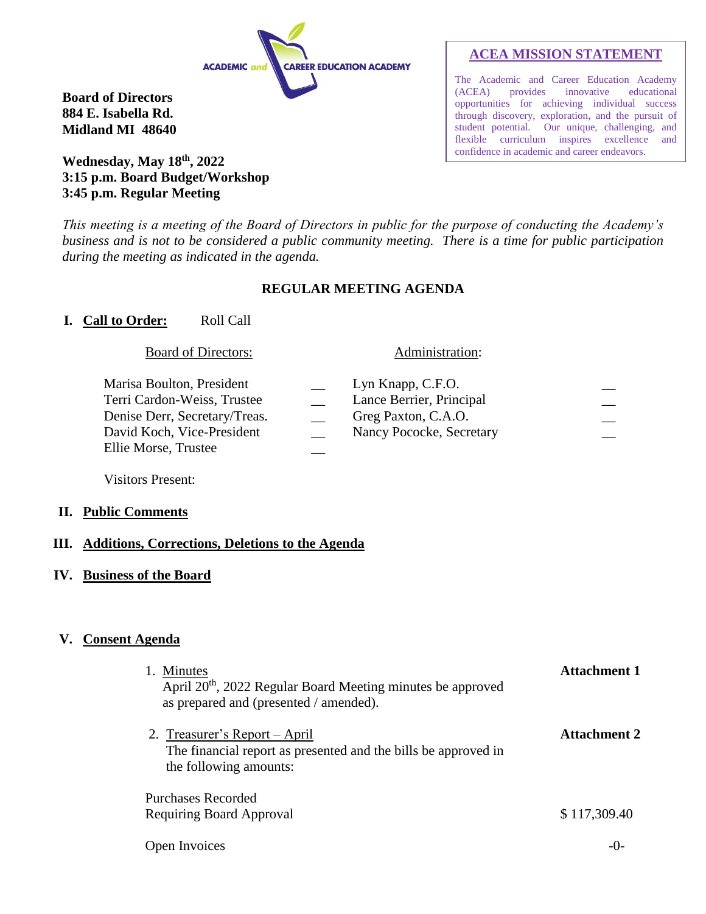

**Board of Directors 884 E. Isabella Rd. Midland MI 48640**

# **Wednesday, May 18th, 2022 3:15 p.m. Board Budget/Workshop 3:45 p.m. Regular Meeting**

# **ACEA MISSION STATEMENT**

The Academic and Career Education Academy (ACEA) provides innovative educational opportunities for achieving individual success through discovery, exploration, and the pursuit of student potential. Our unique, challenging, and flexible curriculum inspires excellence and confidence in academic and career endeavors.

*This meeting is a meeting of the Board of Directors in public for the purpose of conducting the Academy's business and is not to be considered a public community meeting. There is a time for public participation during the meeting as indicated in the agenda.*

### **REGULAR MEETING AGENDA**

### **I. Call to Order:** Roll Call

#### Board of Directors: Administration:

| Marisa Boulton, President<br>Terri Cardon-Weiss, Trustee<br>Denise Derr, Secretary/Treas.<br>David Koch, Vice-President | Lyn Knapp, C.F.O.<br>Lance Berrier, Principal<br>Greg Paxton, C.A.O.<br>Nancy Pococke, Secretary |  |
|-------------------------------------------------------------------------------------------------------------------------|--------------------------------------------------------------------------------------------------|--|
| Ellie Morse, Trustee                                                                                                    |                                                                                                  |  |

Visitors Present:

### **II. Public Comments**

### **III. Additions, Corrections, Deletions to the Agenda**

**IV. Business of the Board**

### **V. Consent Agenda**

| 1. Minutes<br>April 20 <sup>th</sup> , 2022 Regular Board Meeting minutes be approved<br>as prepared and (presented / amended). | <b>Attachment 1</b> |
|---------------------------------------------------------------------------------------------------------------------------------|---------------------|
| 2. Treasurer's Report – April<br>The financial report as presented and the bills be approved in<br>the following amounts:       | <b>Attachment 2</b> |
| Purchases Recorded<br>Requiring Board Approval                                                                                  | \$117,309.40        |
| Open Invoices                                                                                                                   |                     |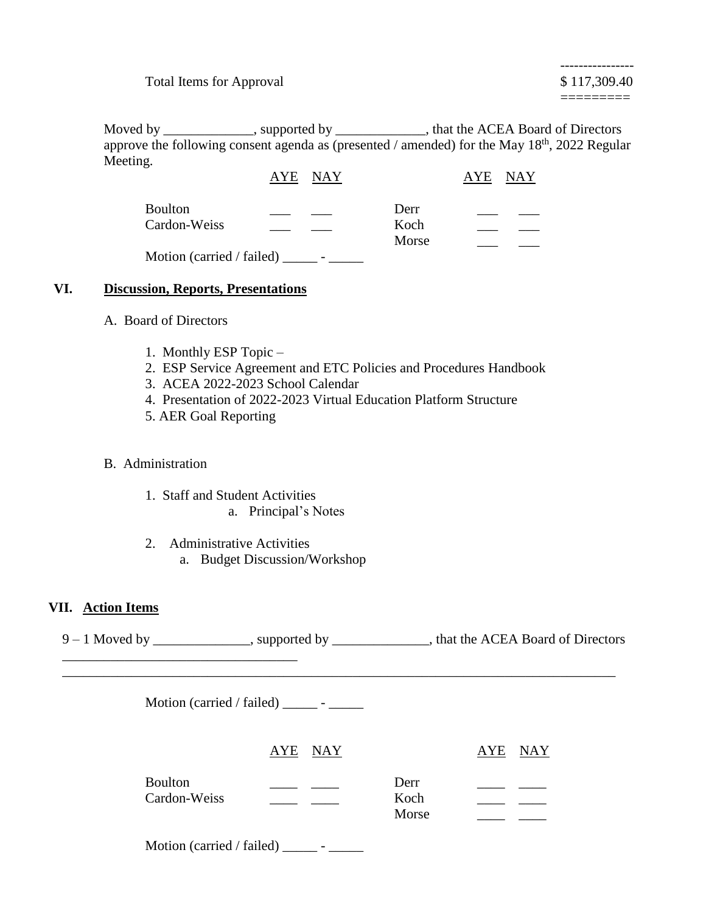Total Items for Approval  $$117,309.40$ 

Moved by \_\_\_\_\_\_\_\_\_\_\_\_, supported by \_\_\_\_\_\_\_\_\_\_\_\_, that the ACEA Board of Directors approve the following consent agenda as (presented / amended) for the May  $18<sup>th</sup>$ , 2022 Regular Meeting.

|                           | AYE NAY |               | AYE NAY |
|---------------------------|---------|---------------|---------|
| <b>Boulton</b>            |         | Derr          |         |
| Cardon-Weiss              |         | Koch<br>Morse |         |
| Motion (carried / failed) |         |               |         |

### **VI. Discussion, Reports, Presentations**

- A. Board of Directors
	- 1. Monthly ESP Topic –
	- 2. ESP Service Agreement and ETC Policies and Procedures Handbook
	- 3. ACEA 2022-2023 School Calendar
	- 4. Presentation of 2022-2023 Virtual Education Platform Structure
	- 5. AER Goal Reporting

### B. Administration

\_\_\_\_\_\_\_\_\_\_\_\_\_\_\_\_\_\_\_\_\_\_\_\_\_\_\_\_\_\_\_\_\_\_

- 1. Staff and Student Activities a. Principal's Notes
- 2. Administrative Activities
	- a. Budget Discussion/Workshop

### **VII. Action Items**

9 – 1 Moved by \_\_\_\_\_\_\_\_\_\_\_\_, supported by \_\_\_\_\_\_\_\_\_\_\_, that the ACEA Board of Directors

\_\_\_\_\_\_\_\_\_\_\_\_\_\_\_\_\_\_\_\_\_\_\_\_\_\_\_\_\_\_\_\_\_\_\_\_\_\_\_\_\_\_\_\_\_\_\_\_\_\_\_\_\_\_\_\_\_\_\_\_\_\_\_\_\_\_\_\_\_\_\_\_\_\_\_\_\_\_\_\_

Motion (carried / failed)  $\frac{\ }{\ }$  -  $\frac{\ }{\ }$ 

|                                | AYE NAY |                       | AYE | <b>NAY</b> |
|--------------------------------|---------|-----------------------|-----|------------|
| <b>Boulton</b><br>Cardon-Weiss |         | Derr<br>Koch<br>Morse |     |            |

Motion (carried / failed)  $\frac{\qquad \qquad }{\qquad \qquad }$  -  $\frac{\qquad \qquad }{\qquad \qquad }$